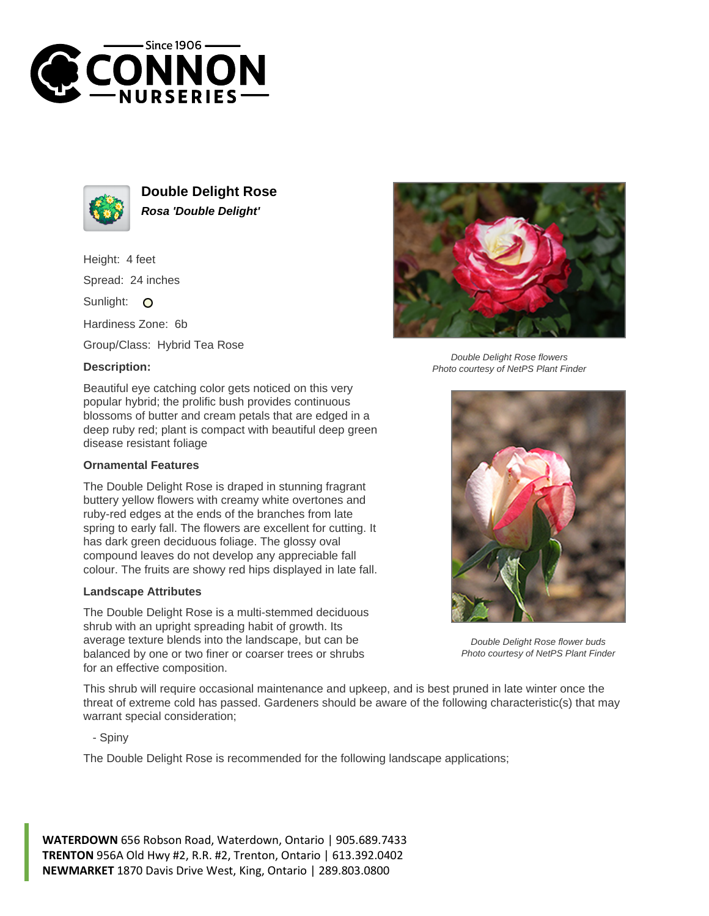



**Double Delight Rose Rosa 'Double Delight'**

Height: 4 feet Spread: 24 inches

Sunlight: O

Hardiness Zone: 6b

Group/Class: Hybrid Tea Rose

## **Description:**

Beautiful eye catching color gets noticed on this very popular hybrid; the prolific bush provides continuous blossoms of butter and cream petals that are edged in a deep ruby red; plant is compact with beautiful deep green disease resistant foliage

## **Ornamental Features**

The Double Delight Rose is draped in stunning fragrant buttery yellow flowers with creamy white overtones and ruby-red edges at the ends of the branches from late spring to early fall. The flowers are excellent for cutting. It has dark green deciduous foliage. The glossy oval compound leaves do not develop any appreciable fall colour. The fruits are showy red hips displayed in late fall.

## **Landscape Attributes**

The Double Delight Rose is a multi-stemmed deciduous shrub with an upright spreading habit of growth. Its average texture blends into the landscape, but can be balanced by one or two finer or coarser trees or shrubs for an effective composition.



Double Delight Rose flowers Photo courtesy of NetPS Plant Finder



Double Delight Rose flower buds Photo courtesy of NetPS Plant Finder

This shrub will require occasional maintenance and upkeep, and is best pruned in late winter once the threat of extreme cold has passed. Gardeners should be aware of the following characteristic(s) that may warrant special consideration;

- Spiny

The Double Delight Rose is recommended for the following landscape applications;

**WATERDOWN** 656 Robson Road, Waterdown, Ontario | 905.689.7433 **TRENTON** 956A Old Hwy #2, R.R. #2, Trenton, Ontario | 613.392.0402 **NEWMARKET** 1870 Davis Drive West, King, Ontario | 289.803.0800